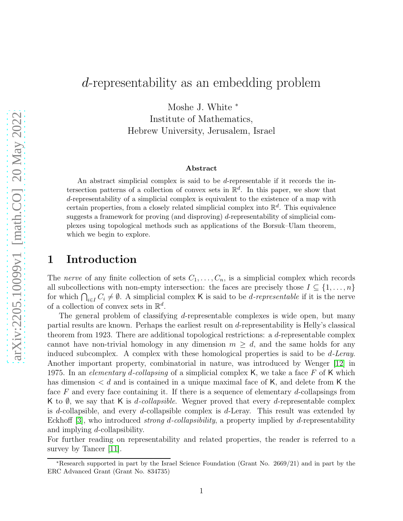# d-representability as an embedding problem

Moshe J. White <sup>∗</sup>

Institute of Mathematics, Hebrew University, Jerusalem, Israel

#### Abstract

An abstract simplicial complex is said to be d-representable if it records the intersection patterns of a collection of convex sets in  $\mathbb{R}^d$ . In this paper, we show that d-representability of a simplicial complex is equivalent to the existence of a map with certain properties, from a closely related simplicial complex into  $\mathbb{R}^d$ . This equivalence suggests a framework for proving (and disproving) d-representability of simplicial complexes using topological methods such as applications of the Borsuk–Ulam theorem, which we begin to explore.

## 1 Introduction

The nerve of any finite collection of sets  $C_1, \ldots, C_n$ , is a simplicial complex which records all subcollections with non-empty intersection: the faces are precisely those  $I \subseteq \{1, \ldots, n\}$ for which  $\bigcap_{i\in I} C_i \neq \emptyset$ . A simplicial complex K is said to be *d-representable* if it is the nerve of a collection of convex sets in  $\mathbb{R}^d$ .

The general problem of classifying d-representable complexes is wide open, but many partial results are known. Perhaps the earliest result on d-representability is Helly's classical theorem from 1923. There are additional topological restrictions: a d-representable complex cannot have non-trivial homology in any dimension  $m \geq d$ , and the same holds for any induced subcomplex. A complex with these homological properties is said to be d-Leray. Another important property, combinatorial in nature, was introduced by Wenger [\[12\]](#page-19-0) in 1975. In an elementary d-collapsing of a simplicial complex K, we take a face F of K which has dimension  $\lt d$  and is contained in a unique maximal face of K, and delete from K the face  $F$  and every face containing it. If there is a sequence of elementary d-collapsings from K to  $\emptyset$ , we say that K is *d-collapsible*. Wegner proved that every *d*-representable complex is d-collapsible, and every d-collapsible complex is d-Leray. This result was extended by Eckhoff [\[3\]](#page-19-1), who introduced *strong d-collapsibility*, a property implied by d-representability and implying d-collapsibility.

For further reading on representability and related properties, the reader is referred to a survey by Tancer [\[11\]](#page-19-2).

<sup>∗</sup>Research supported in part by the Israel Science Foundation (Grant No. 2669/21) and in part by the ERC Advanced Grant (Grant No. 834735)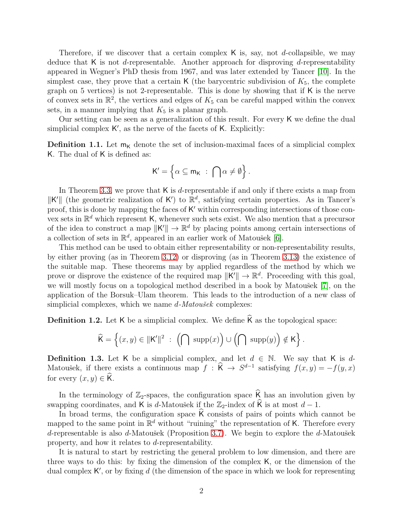Therefore, if we discover that a certain complex  $\kappa$  is, say, not d-collapsible, we may deduce that K is not d-representable. Another approach for disproving d-representability appeared in Wegner's PhD thesis from 1967, and was later extended by Tancer [\[10\]](#page-19-3). In the simplest case, they prove that a certain K (the barycentric subdivision of  $K_5$ , the complete graph on 5 vertices) is not 2-representable. This is done by showing that if K is the nerve of convex sets in  $\mathbb{R}^2$ , the vertices and edges of  $K_5$  can be careful mapped within the convex sets, in a manner implying that  $K_5$  is a planar graph.

Our setting can be seen as a generalization of this result. For every K we define the dual simplicial complex K', as the nerve of the facets of K. Explicitly:

<span id="page-1-0"></span>**Definition 1.1.** Let  $m_K$  denote the set of inclusion-maximal faces of a simplicial complex K. The dual of K is defined as:

$$
K' = \Big\{ \alpha \subseteq m_K \ : \ \bigcap \alpha \neq \emptyset \Big\} \, .
$$

In Theorem [3.3,](#page-5-0) we prove that  $K$  is d-representable if and only if there exists a map from  $\|K'\|$  (the geometric realization of K') to  $\mathbb{R}^d$ , satisfying certain properties. As in Tancer's proof, this is done by mapping the faces of K' within corresponding intersections of those convex sets in  $\mathbb{R}^d$  which represent K, whenever such sets exist. We also mention that a precursor of the idea to construct a map  $||K'|| \to \mathbb{R}^d$  by placing points among certain intersections of a collection of sets in  $\mathbb{R}^d$ , appeared in an earlier work of Matoušek [\[6\]](#page-19-4).

This method can be used to obtain either representability or non-representability results, by either proving (as in Theorem [3.12\)](#page-9-0) or disproving (as in Theorem [3.13\)](#page-9-1) the existence of the suitable map. These theorems may by applied regardless of the method by which we prove or disprove the existence of the required map  $\|\mathsf{K}'\| \to \mathbb{R}^d$ . Proceeding with this goal, we will mostly focus on a topological method described in a book by Matoušek [\[7\]](#page-19-5), on the application of the Borsuk–Ulam theorem. This leads to the introduction of a new class of simplicial complexes, which we name  $d$ -Matou $\check{se}k$  complexes:

<span id="page-1-1"></span>**Definition 1.2.** Let K be a simplicial complex. We define  $\hat{\mathsf{K}}$  as the topological space:

$$
\widehat{\mathsf{K}} = \left\{(x,y) \in \|\mathsf{K}'\|^2 \ : \ \left(\bigcap \ \text{supp}(x)\right) \cup \left(\bigcap \ \text{supp}(y)\right) \notin \mathsf{K}\right\}.
$$

<span id="page-1-2"></span>**Definition 1.3.** Let K be a simplicial complex, and let  $d \in \mathbb{N}$ . We say that K is d-Matoušek, if there exists a continuous map  $f : \hat{K} \to S^{d-1}$  satisfying  $f(x, y) = -f(y, x)$ for every  $(x, y) \in \widehat{K}$ .

In the terminology of  $\mathbb{Z}_2$ -spaces, the configuration space  $\widehat{K}$  has an involution given by swapping coordinates, and K is d-Matoušek if the  $\mathbb{Z}_2$ -index of  $\widehat{K}$  is at most  $d - 1$ .

In broad terms, the configuration space  $\hat{\mathsf{K}}$  consists of pairs of points which cannot be mapped to the same point in  $\mathbb{R}^d$  without "ruining" the representation of K. Therefore every d-representable is also d-Matoušek (Proposition [3.7\)](#page-7-0). We begin to explore the d-Matoušek property, and how it relates to d-representability.

It is natural to start by restricting the general problem to low dimension, and there are three ways to do this: by fixing the dimension of the complex K, or the dimension of the dual complex  $K'$ , or by fixing d (the dimension of the space in which we look for representing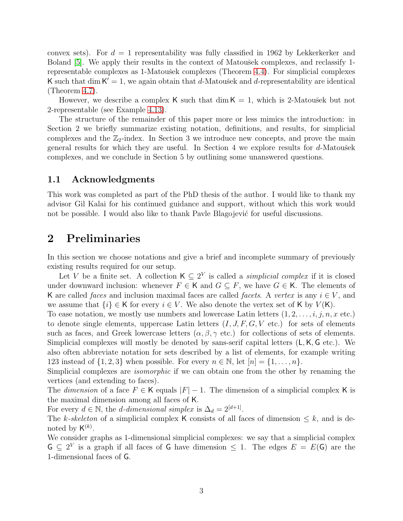convex sets). For  $d = 1$  representability was fully classified in 1962 by Lekkerkerker and Boland [\[5\]](#page-19-6). We apply their results in the context of Matousek complexes, and reclassify 1-representable complexes as 1-Matoušek complexes (Theorem [4.4\)](#page-12-0). For simplicial complexes K such that dim  $K' = 1$ , we again obtain that d-Matoušek and d-representability are identical (Theorem [4.7\)](#page-14-0).

However, we describe a complex K such that  $\dim K = 1$ , which is 2-Matousek but not 2-representable (see Example [4.13\)](#page-16-0).

The structure of the remainder of this paper more or less mimics the introduction: in Section 2 we briefly summarize existing notation, definitions, and results, for simplicial complexes and the  $\mathbb{Z}_2$ -index. In Section 3 we introduce new concepts, and prove the main general results for which they are useful. In Section 4 we explore results for  $d$ -Matoušek complexes, and we conclude in Section 5 by outlining some unanswered questions.

### 1.1 Acknowledgments

This work was completed as part of the PhD thesis of the author. I would like to thank my advisor Gil Kalai for his continued guidance and support, without which this work would not be possible. I would also like to thank Pavle Blagojević for useful discussions.

## 2 Preliminaries

In this section we choose notations and give a brief and incomplete summary of previously existing results required for our setup.

Let V be a finite set. A collection  $\mathsf{K} \subseteq 2^V$  is called a *simplicial complex* if it is closed under downward inclusion: whenever  $F \in K$  and  $G \subseteq F$ , we have  $G \in K$ . The elements of K are called *faces* and inclusion maximal faces are called *facets*. A vertex is any  $i \in V$ , and we assume that  $\{i\} \in K$  for every  $i \in V$ . We also denote the vertex set of K by  $V(K)$ .

To ease notation, we mostly use numbers and lowercase Latin letters  $(1, 2, \ldots, i, j, n, x \text{ etc.})$ to denote single elements, uppercase Latin letters  $(I, J, F, G, V$  etc.) for sets of elements such as faces, and Greek lowercase letters  $(\alpha, \beta, \gamma \text{ etc.})$  for collections of sets of elements. Simplicial complexes will mostly be denoted by sans-serif capital letters (L, K, G etc.). We also often abbreviate notation for sets described by a list of elements, for example writing 123 instead of  $\{1, 2, 3\}$  when possible. For every  $n \in \mathbb{N}$ , let  $[n] = \{1, \ldots, n\}$ .

Simplicial complexes are *isomorphic* if we can obtain one from the other by renaming the vertices (and extending to faces).

The dimension of a face  $F \in K$  equals  $|F| - 1$ . The dimension of a simplicial complex K is the maximal dimension among all faces of K.

For every  $d \in \mathbb{N}$ , the *d*-dimensional simplex is  $\Delta_d = 2^{[d+1]}$ .

The k-skeleton of a simplicial complex K consists of all faces of dimension  $\leq k$ , and is denoted by  $\mathsf{K}^{(k)}$ .

We consider graphs as 1-dimensional simplicial complexes: we say that a simplicial complex  $G \subseteq 2^V$  is a graph if all faces of G have dimension  $\leq 1$ . The edges  $E = E(G)$  are the 1-dimensional faces of G.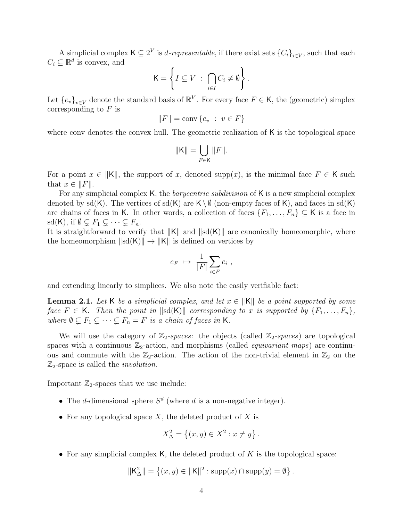A simplicial complex  $\mathsf{K} \subseteq 2^V$  is *d-representable*, if there exist sets  $\{C_i\}_{i \in V}$ , such that each  $C_i \subseteq \mathbb{R}^d$  is convex, and

$$
\mathsf{K} = \left\{ I \subseteq V \ : \ \bigcap_{i \in I} C_i \neq \emptyset \right\}.
$$

Let  ${e_v}_{v \in V}$  denote the standard basis of  $\mathbb{R}^V$ . For every face  $F \in K$ , the (geometric) simplex corresponding to  $F$  is

$$
||F|| = \text{conv}\{e_v : v \in F\}
$$

where conv denotes the convex hull. The geometric realization of K is the topological space

$$
\|\mathbf{K}\|=\bigcup_{F\in\mathbf{K}}\|F\|.
$$

For a point  $x \in ||K||$ , the support of x, denoted supp(x), is the minimal face  $F \in K$  such that  $x \in ||F||$ .

For any simplicial complex K, the *barycentric subdivision* of K is a new simplicial complex denoted by sd(K). The vertices of sd(K) are  $K \setminus \emptyset$  (non-empty faces of K), and faces in sd(K) are chains of faces in K. In other words, a collection of faces  $\{F_1, \ldots, F_n\} \subseteq K$  is a face in sd(K), if  $\emptyset \subsetneq F_1 \subsetneq \cdots \subsetneq F_n$ .

It is straightforward to verify that  $||K||$  and  $||sd(K)||$  are canonically homeomorphic, where the homeomorphism  $\| sd(K)\| \to \|K\|$  is defined on vertices by

$$
e_F \ \mapsto \ \frac{1}{|F|} \sum_{i \in F} e_i \ ,
$$

and extending linearly to simplices. We also note the easily verifiable fact:

<span id="page-3-0"></span>**Lemma 2.1.** Let K be a simplicial complex, and let  $x \in ||\mathsf{K}||$  be a point supported by some face  $F \in \mathsf{K}$ . Then the point in  $\|\text{sd}(\mathsf{K})\|$  corresponding to x is supported by  $\{F_1, \ldots, F_n\}$ , where  $\emptyset \subsetneq F_1 \subsetneq \cdots \subsetneq F_n = F$  is a chain of faces in K.

We will use the category of  $\mathbb{Z}_2$ -spaces: the objects (called  $\mathbb{Z}_2$ -spaces) are topological spaces with a continuous  $\mathbb{Z}_2$ -action, and morphisms (called *equivariant maps*) are continuous and commute with the  $\mathbb{Z}_2$ -action. The action of the non-trivial element in  $\mathbb{Z}_2$  on the  $\mathbb{Z}_2$ -space is called the *involution*.

Important  $\mathbb{Z}_2$ -spaces that we use include:

- The *d*-dimensional sphere  $S<sup>d</sup>$  (where *d* is a non-negative integer).
- For any topological space  $X$ , the deleted product of  $X$  is

$$
X_{\Delta}^{2} = \{(x, y) \in X^{2} : x \neq y\}.
$$

• For any simplicial complex K, the deleted product of  $K$  is the topological space:

$$
\|\mathsf{K}^2_\Delta\| = \left\{(x,y) \in \|\mathsf{K}\|^2 : \text{supp}(x) \cap \text{supp}(y) = \emptyset\right\}.
$$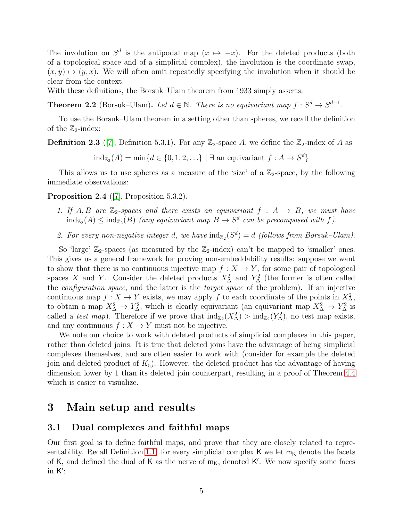The involution on  $S^d$  is the antipodal map  $(x \mapsto -x)$ . For the deleted products (both of a topological space and of a simplicial complex), the involution is the coordinate swap,  $(x, y) \mapsto (y, x)$ . We will often omit repeatedly specifying the involution when it should be clear from the context.

With these definitions, the Borsuk–Ulam theorem from 1933 simply asserts:

**Theorem 2.2** (Borsuk–Ulam). Let  $d \in \mathbb{N}$ . There is no equivariant map  $f : S^d \to S^{d-1}$ .

To use the Borsuk–Ulam theorem in a setting other than spheres, we recall the definition of the  $\mathbb{Z}_2$ -index:

**Definition 2.3** ([\[7\]](#page-19-5), Definition 5.3.1). For any  $\mathbb{Z}_2$ -space A, we define the  $\mathbb{Z}_2$ -index of A as

 $\text{ind}_{\mathbb{Z}_2}(A) = \min\{d \in \{0, 1, 2, \ldots\} \mid \exists \text{ an equivariant } f : A \to S^d\}$ 

This allows us to use spheres as a measure of the 'size' of a  $\mathbb{Z}_2$ -space, by the following immediate observations:

<span id="page-4-0"></span>Proposition 2.4 ([\[7\]](#page-19-5), Proposition 5.3.2).

- 1. If A, B are  $\mathbb{Z}_2$ -spaces and there exists an equivariant  $f : A \rightarrow B$ , we must have  $\text{ind}_{\mathbb{Z}_2}(A) \le \text{ind}_{\mathbb{Z}_2}(B)$  (any equivariant map  $B \to S^d$  can be precomposed with f).
- 2. For every non-negative integer d, we have  $\text{ind}_{\mathbb{Z}_2}(S^d) = d$  (follows from Borsuk–Ulam).

So 'large'  $\mathbb{Z}_2$ -spaces (as measured by the  $\mathbb{Z}_2$ -index) can't be mapped to 'smaller' ones. This gives us a general framework for proving non-embeddability results: suppose we want to show that there is no continuous injective map  $f: X \to Y$ , for some pair of topological spaces X and Y. Consider the deleted products  $X^2_{\Delta}$  and  $Y^2_{\Delta}$  (the former is often called the configuration space, and the latter is the target space of the problem). If an injective continuous map  $f: X \to Y$  exists, we may apply f to each coordinate of the points in  $X^2_{\Delta}$ , to obtain a map  $X^2_{\Delta} \to Y^2_{\Delta}$ , which is clearly equivariant (an equivariant map  $X^2_{\Delta} \to Y^2_{\Delta}$  is called a test map). Therefore if we prove that  $\text{ind}_{\mathbb{Z}_2}(X^2) > \text{ind}_{\mathbb{Z}_2}(Y^2)$ , no test map exists, and any continuous  $f: X \to Y$  must not be injective.

We note our choice to work with deleted products of simplicial complexes in this paper, rather than deleted joins. It is true that deleted joins have the advantage of being simplicial complexes themselves, and are often easier to work with (consider for example the deleted join and deleted product of  $K_5$ ). However, the deleted product has the advantage of having dimension lower by 1 than its deleted join counterpart, resulting in a proof of Theorem [4.4](#page-12-0) which is easier to visualize.

## 3 Main setup and results

### 3.1 Dual complexes and faithful maps

Our first goal is to define faithful maps, and prove that they are closely related to repre-sentability. Recall Definition [1.1:](#page-1-0) for every simplicial complex K we let  $m<sub>K</sub>$  denote the facets of K, and defined the dual of K as the nerve of  $m<sub>K</sub>$ , denoted K'. We now specify some faces in  $K'$ :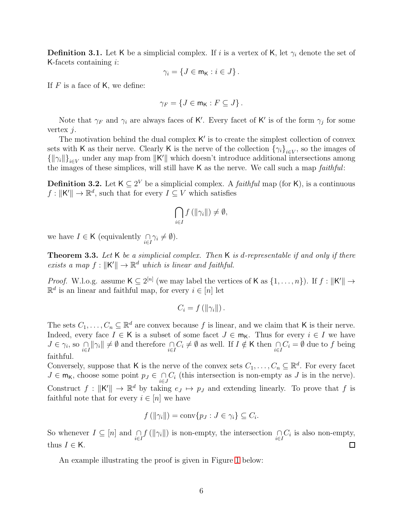**Definition 3.1.** Let K be a simplicial complex. If i is a vertex of K, let  $\gamma_i$  denote the set of K-facets containing  $i$ :

$$
\gamma_i = \{ J \in \mathsf{m}_{\mathsf{K}} : i \in J \}.
$$

If  $F$  is a face of  $K$ , we define:

$$
\gamma_F = \{ J \in \mathsf{m}_\mathsf{K} : F \subseteq J \} \, .
$$

Note that  $\gamma_F$  and  $\gamma_i$  are always faces of K'. Every facet of K' is of the form  $\gamma_j$  for some vertex j.

The motivation behind the dual complex  $K'$  is to create the simplest collection of convex sets with K as their nerve. Clearly K is the nerve of the collection  $\{\gamma_i\}_{i\in V}$ , so the images of  $\{\|\gamma_i\|\}_{i\in V}$  under any map from  $\|K'\|$  which doesn't introduce additional intersections among the images of these simplices, will still have  $K$  as the nerve. We call such a map  $faithful$ :

**Definition 3.2.** Let  $K \subseteq 2^V$  be a simplicial complex. A *faithful* map (for K), is a continuous  $f: ||\mathsf{K}'|| \to \mathbb{R}^d$ , such that for every  $I \subseteq V$  which satisfies

$$
\bigcap_{i\in I} f\left(\left\|\gamma_i\right\|\right)\neq \emptyset,
$$

we have  $I \in \mathsf{K}$  (equivalently  $\bigcap_{i \in I} \gamma_i \neq \emptyset$ ).

<span id="page-5-0"></span>**Theorem 3.3.** Let  $K$  be a simplicial complex. Then  $K$  is d-representable if and only if there exists a map  $f: ||\mathsf{K}'|| \to \mathbb{R}^d$  which is linear and faithful.

*Proof.* W.l.o.g. assume  $K \subseteq 2^{[n]}$  (we may label the vertices of K as  $\{1, \ldots, n\}$ ). If  $f : ||K|| \rightarrow$  $\mathbb{R}^d$  is an linear and faithful map, for every  $i \in [n]$  let

$$
C_i = f\left(\left\|\gamma_i\right\|\right).
$$

The sets  $C_1, \ldots, C_n \subseteq \mathbb{R}^d$  are convex because f is linear, and we claim that K is their nerve. Indeed, every face  $I \in \mathsf{K}$  is a subset of some facet  $J \in \mathsf{m}_{\mathsf{K}}$ . Thus for every  $i \in I$  we have  $J \in \gamma_i$ , so  $\bigcap_{i \in I} ||\gamma_i|| \neq \emptyset$  and therefore  $\bigcap_{i \in I} C_i \neq \emptyset$  as well. If  $I \notin \mathsf{K}$  then  $\bigcap_{i \in I} C_i = \emptyset$  due to f being faithful.

Conversely, suppose that K is the nerve of the convex sets  $C_1, \ldots, C_n \subseteq \mathbb{R}^d$ . For every facet  $J \in \mathsf{m}_{\mathsf{K}}$ , choose some point  $p_J \in \bigcap_{i \in J} C_i$  (this intersection is non-empty as  $J$  is in the nerve). Construct  $f: ||K'|| \to \mathbb{R}^d$  by taking  $e_J \mapsto p_J$  and extending linearly. To prove that f is faithful note that for every  $i \in [n]$  we have

$$
f(||\gamma_i||) = \text{conv}\{p_J : J \in \gamma_i\} \subseteq C_i.
$$

So whenever  $I \subseteq [n]$  and  $\bigcap_{i \in I} f(\|\gamma_i\|)$  is non-empty, the intersection  $\bigcap_{i \in I} C_i$  is also non-empty, thus  $I \in \mathsf{K}$ .  $\Box$ 

An example illustrating the proof is given in Figure [1](#page-6-0) below: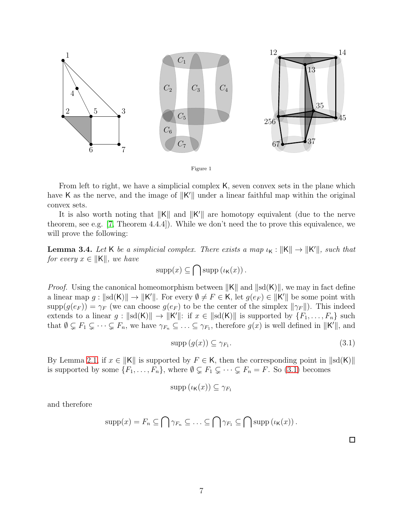

From left to right, we have a simplicial complex K, seven convex sets in the plane which have K as the nerve, and the image of  $||K'||$  under a linear faithful map within the original convex sets.

It is also worth noting that  $||K||$  and  $||K'||$  are homotopy equivalent (due to the nerve theorem, see e.g. [\[7,](#page-19-5) Theorem 4.4.4]). While we don't need the to prove this equivalence, we will prove the following:

<span id="page-6-2"></span>**Lemma 3.4.** Let K be a simplicial complex. There exists a map  $\iota_K : ||K|| \to ||K'||$ , such that for every  $x \in ||\mathsf{K}||$ , we have

<span id="page-6-0"></span>
$$
\mathrm{supp}(x) \subseteq \bigcap \mathrm{supp}\left(\iota_{\mathsf{K}}(x)\right).
$$

*Proof.* Using the canonical homeomorphism between  $||K||$  and  $||sd(K)||$ , we may in fact define a linear map  $g: ||sd(K)|| \to ||K'||$ . For every  $\emptyset \neq F \in K$ , let  $g(e_F) \in ||K'||$  be some point with  $\text{supp}(g(e_F)) = \gamma_F$  (we can choose  $g(e_F)$  to be the center of the simplex  $\|\gamma_F\|$ ). This indeed extends to a linear  $g: ||sd(K)|| \to ||K'||:$  if  $x \in ||sd(K)||$  is supported by  $\{F_1, \ldots, F_n\}$  such that  $\emptyset \subsetneq F_1 \subsetneq \cdots \subsetneq F_n$ , we have  $\gamma_{F_n} \subsetneq \cdots \subsetneq \gamma_{F_1}$ , therefore  $g(x)$  is well defined in  $||K'||$ , and

<span id="page-6-1"></span>
$$
supp (g(x)) \subseteq \gamma_{F_1}.
$$
\n
$$
(3.1)
$$

By Lemma [2.1,](#page-3-0) if  $x \in ||K||$  is supported by  $F \in K$ , then the corresponding point in  $||\text{sd}(K)||$ is supported by some  $\{F_1, \ldots, F_n\}$ , where  $\emptyset \subsetneq F_1 \subsetneq \cdots \subsetneq F_n = F$ . So [\(3.1\)](#page-6-1) becomes

$$
\mathrm{supp}\left(\iota_{\mathsf{K}}(x)\right) \subseteq \gamma_{F_1}
$$

and therefore

$$
supp(x) = F_n \subseteq \bigcap \gamma_{F_n} \subseteq \ldots \subseteq \bigcap \gamma_{F_1} \subseteq \bigcap supp (\iota_K(x)).
$$

 $\Box$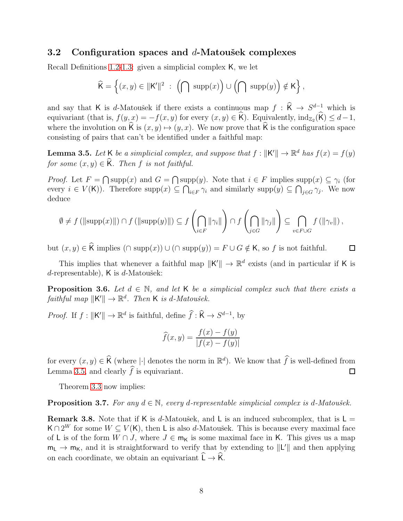### 3.2 Configuration spaces and  $d$ -Matoušek complexes

Recall Definitions [1.2](#page-1-1)[-1.3:](#page-1-2) given a simplicial complex K, we let

$$
\widehat{\mathsf{K}} = \left\{(x,y) \in \|\mathsf{K}'\|^2 \; : \; \left(\bigcap \; \mathrm{supp}(x)\right) \cup \left(\bigcap \; \mathrm{supp}(y)\right) \notin \mathsf{K}\right\},
$$

and say that K is d-Matoušek if there exists a continuous map  $f : \hat{K} \to S^{d-1}$  which is equivariant (that is,  $f(y,x) = -f(x,y)$  for every  $(x, y) \in \widehat{K}$ ). Equivalently,  $\text{ind}_{Z_2}(\widehat{K}) \leq d-1$ , where the involution on  $\widehat{K}$  is  $(x, y) \mapsto (y, x)$ . We now prove that  $\widehat{K}$  is the configuration space consisting of pairs that can't be identified under a faithful map:

<span id="page-7-1"></span>**Lemma 3.5.** Let K be a simplicial complex, and suppose that  $f : ||K|| \to \mathbb{R}^d$  has  $f(x) = f(y)$ for some  $(x, y) \in \widehat{K}$ . Then f is not faithful.

*Proof.* Let  $F = \bigcap \text{supp}(x)$  and  $G = \bigcap \text{supp}(y)$ . Note that  $i \in F$  implies  $\text{supp}(x) \subseteq \gamma_i$  (for every  $i \in V(K)$ ). Therefore supp $(x) \subseteq \bigcap_{i \in F} \gamma_i$  and similarly supp $(y) \subseteq \bigcap_{j \in G} \gamma_j$ . We now deduce

$$
\emptyset \neq f \left( \|\mathrm{supp}(x)\| \right) \cap f \left( \|\mathrm{supp}(y)\| \right) \subseteq f \left( \bigcap_{i \in F} \|\gamma_i\| \right) \cap f \left( \bigcap_{j \in G} \|\gamma_j\| \right) \subseteq \bigcap_{v \in F \cup G} f \left( \|\gamma_v\| \right),
$$

but  $(x, y) \in \widehat{K}$  implies  $(∩ \text{supp}(x)) ∪ (∩ \text{supp}(y)) = F ∪ G \notin K$ , so f is not faithful.

□

This implies that whenever a faithful map  $||K'|| \rightarrow \mathbb{R}^d$  exists (and in particular if K is  $d$ -representable), K is  $d$ -Matoušek:

<span id="page-7-2"></span>**Proposition 3.6.** Let  $d \in \mathbb{N}$ , and let K be a simplicial complex such that there exists a faithful map  $\Vert \mathsf{K}' \Vert \to \mathbb{R}^d$ . Then **K** is d-Matoušek.

*Proof.* If  $f: ||K'|| \to \mathbb{R}^d$  is faithful, define  $\widehat{f}: \widehat{K} \to S^{d-1}$ , by

$$
\widehat{f}(x,y) = \frac{f(x) - f(y)}{|f(x) - f(y)|}
$$

for every  $(x, y) \in \widehat{K}$  (where  $|\cdot|$  denotes the norm in  $\mathbb{R}^d$ ). We know that  $\widehat{f}$  is well-defined from Lemma [3.5,](#page-7-1) and clearly  $\hat{f}$  is equivariant.  $\Box$ 

Theorem [3.3](#page-5-0) now implies:

<span id="page-7-0"></span>**Proposition 3.7.** For any  $d \in \mathbb{N}$ , every d-representable simplicial complex is d-Matoušek.

<span id="page-7-3"></span>**Remark 3.8.** Note that if K is d-Matoušek, and L is an induced subcomplex, that is  $L =$  $\mathsf{K} \cap 2^W$  for some  $W \subseteq V(\mathsf{K})$ , then L is also d-Matoušek. This is because every maximal face of L is of the form  $W \cap J$ , where  $J \in m_K$  is some maximal face in K. This gives us a map  $m_L \to m_K$ , and it is straightforward to verify that by extending to  $||L'||$  and then applying on each coordinate, we obtain an equivariant  $\hat{L} \rightarrow \hat{K}$ .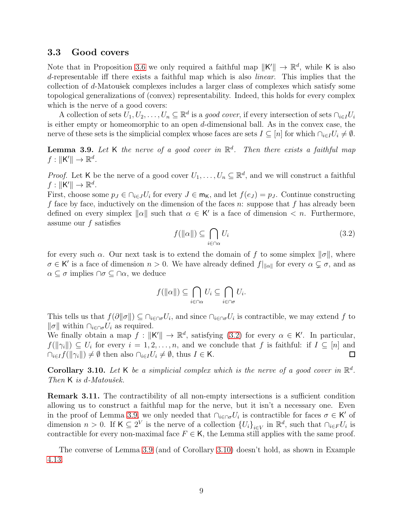### 3.3 Good covers

Note that in Proposition [3.6](#page-7-2) we only required a faithful map  $||K'|| \rightarrow \mathbb{R}^d$ , while K is also d-representable iff there exists a faithful map which is also linear. This implies that the collection of  $d$ -Matoušek complexes includes a larger class of complexes which satisfy some topological generalizations of (convex) representability. Indeed, this holds for every complex which is the nerve of a good covers:

A collection of sets  $U_1, U_2, \ldots, U_n \subseteq \mathbb{R}^d$  is a *good cover*, if every intersection of sets  $\cap_{i \in I} U_i$ is either empty or homeomorphic to an open d-dimensional ball. As in the convex case, the nerve of these sets is the simplicial complex whose faces are sets  $I \subseteq [n]$  for which  $\bigcap_{i \in I} U_i \neq \emptyset$ .

<span id="page-8-1"></span>**Lemma 3.9.** Let K the nerve of a good cover in  $\mathbb{R}^d$ . Then there exists a faithful map  $f: \|K'\| \to \mathbb{R}^d$ .

*Proof.* Let K be the nerve of a good cover  $U_1, \ldots, U_n \subseteq \mathbb{R}^d$ , and we will construct a faithful  $f: \|K'\| \to \mathbb{R}^d$ .

First, choose some  $p_J \in \bigcap_{i \in J} U_i$  for every  $J \in \mathsf{m}_K$ , and let  $f(e_J) = p_J$ . Continue constructing f face by face, inductively on the dimension of the faces n: suppose that f has already been defined on every simplex  $\|\alpha\|$  such that  $\alpha \in K'$  is a face of dimension  $\langle n$ . Furthermore, assume our  $f$  satisfies

<span id="page-8-0"></span>
$$
f(\|\alpha\|) \subseteq \bigcap_{i \in \cap \alpha} U_i
$$
\n(3.2)

for every such  $\alpha$ . Our next task is to extend the domain of f to some simplex  $\|\sigma\|$ , where  $\sigma \in K'$  is a face of dimension  $n > 0$ . We have already defined  $f|_{\alpha}$  for every  $\alpha \subsetneq \sigma$ , and as  $\alpha \subseteq \sigma$  implies  $\cap \sigma \subseteq \cap \alpha$ , we deduce

$$
f(\|\alpha\|) \subseteq \bigcap_{i \in \cap \alpha} U_i \subseteq \bigcap_{i \in \cap \sigma} U_i.
$$

This tells us that  $f(\partial ||\sigma||) \subseteq \bigcap_{i\in\cap\sigma}U_i$ , and since  $\bigcap_{i\in\cap\sigma}U_i$  is contractible, we may extend f to  $\|\sigma\|$  within  $\cap_{i\in\Omega}U_i$  as required.

We finally obtain a map  $f: ||K|| \to \mathbb{R}^d$ , satisfying [\(3.2\)](#page-8-0) for every  $\alpha \in K'$ . In particular,  $f(||\gamma_i||) \subseteq U_i$  for every  $i = 1, 2, \ldots, n$ , and we conclude that f is faithful: if  $I \subseteq [n]$  and  $\cap_{i\in I} f(\|\gamma_i\|) \neq \emptyset$  then also  $\cap_{i\in I} U_i \neq \emptyset$ , thus  $I \in \mathsf{K}$ .  $\Box$ 

<span id="page-8-2"></span>**Corollary 3.10.** Let K be a simplicial complex which is the nerve of a good cover in  $\mathbb{R}^d$ . Then  $K$  is d-Matoušek.

<span id="page-8-3"></span>Remark 3.11. The contractibility of all non-empty intersections is a sufficient condition allowing us to construct a faithful map for the nerve, but it isn't a necessary one. Even in the proof of Lemma [3.9,](#page-8-1) we only needed that  $\cap_{i\in\bigcap\sigma}U_i$  is contractible for faces  $\sigma\in\mathsf{K}'$  of dimension  $n > 0$ . If  $\mathsf{K} \subseteq 2^V$  is the nerve of a collection  $\{U_i\}_{i \in V}$  in  $\mathbb{R}^d$ , such that  $\bigcap_{i \in F} U_i$  is contractible for every non-maximal face  $F \in K$ , the Lemma still applies with the same proof.

The converse of Lemma [3.9](#page-8-1) (and of Corollary [3.10\)](#page-8-2) doesn't hold, as shown in Example [4.13.](#page-16-0)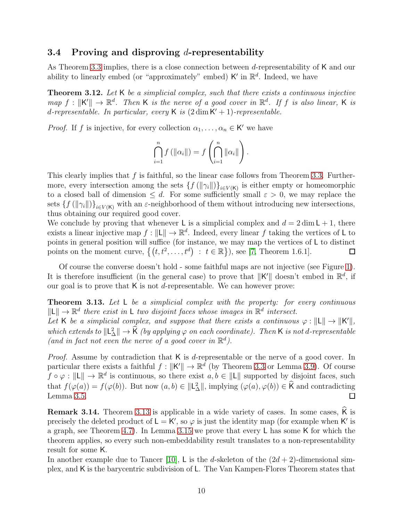## 3.4 Proving and disproving  $d$ -representability

As Theorem [3.3](#page-5-0) implies, there is a close connection between d-representability of K and our ability to linearly embed (or "approximately" embed)  $\mathsf{K}'$  in  $\mathbb{R}^d$ . Indeed, we have

<span id="page-9-0"></span>Theorem 3.12. Let K be a simplicial complex, such that there exists a continuous injective map  $f: ||\mathsf{K}'|| \to \mathbb{R}^d$ . Then K is the nerve of a good cover in  $\mathbb{R}^d$ . If f is also linear, K is d-representable. In particular, every  $\mathsf K$  is  $(2\dim \mathsf K'+1)$ -representable.

*Proof.* If f is injective, for every collection  $\alpha_1, \ldots, \alpha_n \in \mathsf{K}'$  we have

$$
\bigcap_{i=1}^n f\left(\|\alpha_i\|\right) = f\left(\bigcap_{i=1}^n \|\alpha_i\|\right).
$$

This clearly implies that  $f$  is faithful, so the linear case follows from Theorem [3.3.](#page-5-0) Furthermore, every intersection among the sets  $\{f(||\gamma_i||)\}_{i\in V(K)}$  is either empty or homeomorphic to a closed ball of dimension  $\leq d$ . For some sufficiently small  $\varepsilon > 0$ , we may replace the sets  $\{f(||\gamma_i||)\}_{i\in V(K)}$  with an  $\varepsilon$ -neighborhood of them without introducing new intersections, thus obtaining our required good cover.

We conclude by proving that whenever L is a simplicial complex and  $d = 2 \dim L + 1$ , there exists a linear injective map  $f: ||\mathsf{L}|| \to \mathbb{R}^d$ . Indeed, every linear f taking the vertices of L to points in general position will suffice (for instance, we may map the vertices of L to distinct points on the moment curve,  $\{(t, t^2, \ldots, t^d) : t \in \mathbb{R}\}\)$ , see [\[7,](#page-19-5) Theorem 1.6.1].  $\Box$ 

Of course the converse doesn't hold - some faithful maps are not injective (see Figure [1\)](#page-6-0). It is therefore insufficient (in the general case) to prove that  $||K'||$  doesn't embed in  $\mathbb{R}^d$ , if our goal is to prove that  $K$  is not *d*-representable. We can however prove:

<span id="page-9-1"></span>**Theorem 3.13.** Let  $L$  be a simplicial complex with the property: for every continuous  $\|\mathsf{L}\| \to \mathbb{R}^d$  there exist in L two disjoint faces whose images in  $\mathbb{R}^d$  intersect.

Let K be a simplicial complex, and suppose that there exists a continuous  $\varphi : ||L|| \to ||K'||$ , which extends to  $\Vert L^2_{\Delta} \Vert \to \widehat{K}$  (by applying  $\varphi$  on each coordinate). Then K is not d-representable (and in fact not even the nerve of a good cover in  $\mathbb{R}^d$ ).

Proof. Assume by contradiction that K is d-representable or the nerve of a good cover. In particular there exists a faithful  $f: \|K\| \to \mathbb{R}^d$  (by Theorem [3.3](#page-5-0) or Lemma [3.9\)](#page-8-1). Of course  $f \circ \varphi : ||L|| \to \mathbb{R}^d$  is continuous, so there exist  $a, b \in ||L||$  supported by disjoint faces, such that  $f(\varphi(a)) = f(\varphi(b))$ . But now  $(a, b) \in ||\mathsf{L}_{\Delta}^{2}||$ , implying  $(\varphi(a), \varphi(b)) \in \widehat{\mathsf{K}}$  and contradicting Lemma [3.5.](#page-7-1)

Remark 3.14. Theorem [3.13](#page-9-1) is applicable in a wide variety of cases. In some cases, K is precisely the deleted product of  $L = K'$ , so  $\varphi$  is just the identity map (for example when K' is a graph, see Theorem [4.7\)](#page-14-0). In Lemma [3.15](#page-10-0) we prove that every L has some K for which the theorem applies, so every such non-embeddability result translates to a non-representability result for some K.

In another example due to Tancer [\[10\]](#page-19-3), L is the d-skeleton of the  $(2d + 2)$ -dimensional simplex, and K is the barycentric subdivision of L. The Van Kampen-Flores Theorem states that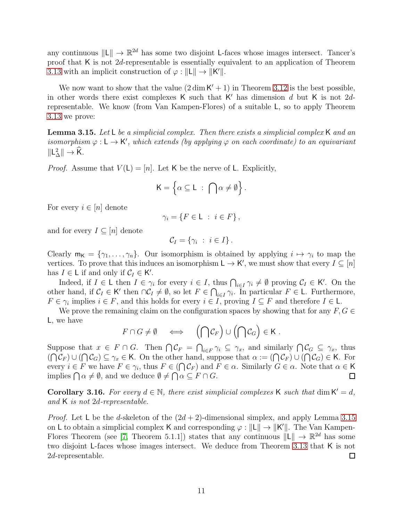any continuous  $\Vert L \Vert \to \mathbb{R}^{2d}$  has some two disjoint L-faces whose images intersect. Tancer's proof that K is not 2d-representable is essentially equivalent to an application of Theorem [3.13](#page-9-1) with an implicit construction of  $\varphi : ||L|| \to ||K'||$ .

We now want to show that the value  $(2 \dim K' + 1)$  in Theorem [3.12](#page-9-0) is the best possible, in other words there exist complexes  $\mathsf K$  such that  $\mathsf K'$  has dimension d but  $\mathsf K$  is not  $2d$ representable. We know (from Van Kampen-Flores) of a suitable L, so to apply Theorem [3.13](#page-9-1) we prove:

<span id="page-10-0"></span>**Lemma 3.15.** Let L be a simplicial complex. Then there exists a simplicial complex K and an isomorphism  $\varphi : L \to K'$ , which extends (by applying  $\varphi$  on each coordinate) to an equivariant  $\Vert L_{\Delta}^{2} \Vert \rightarrow \widehat{K}$ .

*Proof.* Assume that  $V(L) = [n]$ . Let K be the nerve of L. Explicitly,

$$
\mathsf{K}=\left\{\alpha\subseteq\mathsf{L}\;:\;\bigcap\alpha\neq\emptyset\right\}.
$$

For every  $i \in [n]$  denote

 $\gamma_i = \{F \in \mathsf{L} : i \in F\},\$ 

and for every  $I \subseteq [n]$  denote

$$
\mathcal{C}_I = \{ \gamma_i \; : \; i \in I \} \, .
$$

Clearly  $m_K = \{\gamma_1, \ldots, \gamma_n\}$ . Our isomorphism is obtained by applying  $i \mapsto \gamma_i$  to map the vertices. To prove that this induces an isomorphism  $\mathsf{L} \to \mathsf{K}'$ , we must show that every  $I \subseteq [n]$ has  $I \in L$  if and only if  $C_I \in K'$ .

Indeed, if  $I \in \mathsf{L}$  then  $I \in \gamma_i$  for every  $i \in I$ , thus  $\bigcap_{i \in I} \gamma_i \neq \emptyset$  proving  $\mathcal{C}_I \in \mathsf{K}'$ . On the other hand, if  $C_I \in K'$  then  $\cap C_I \neq \emptyset$ , so let  $F \in \bigcap_{i \in I} \gamma_i$ . In particular  $F \in L$ . Furthermore,  $F \in \gamma_i$  implies  $i \in F$ , and this holds for every  $i \in I$ , proving  $I \subseteq F$  and therefore  $I \in L$ .

We prove the remaining claim on the configuration spaces by showing that for any  $F, G \in$ L, we have

$$
F \cap G \neq \emptyset \iff (\bigcap \mathcal{C}_F) \cup (\bigcap \mathcal{C}_G) \in \mathsf{K}.
$$

Suppose that  $x \in F \cap G$ . Then  $\bigcap \mathcal{C}_F = \bigcap_{i \in F} \gamma_i \subseteq \gamma_x$ , and similarly  $\bigcap \mathcal{C}_G \subseteq \gamma_x$ , thus  $(\bigcap C_F) \cup (\bigcap C_G) \subseteq \gamma_x \in \mathsf{K}$ . On the other hand, suppose that  $\alpha := (\bigcap C_F) \cup (\bigcap C_G) \in \mathsf{K}$ . For every  $i \in F$  we have  $F \in \gamma_i$ , thus  $F \in (\bigcap \mathcal{C}_F)$  and  $F \in \alpha$ . Similarly  $G \in \alpha$ . Note that  $\alpha \in \mathsf{K}$ implies  $\bigcap \alpha \neq \emptyset$ , and we deduce  $\emptyset \neq \bigcap \alpha \subseteq F \cap G$ .  $\Box$ 

**Corollary 3.16.** For every  $d \in \mathbb{N}$ , there exist simplicial complexes K such that dim  $K' = d$ , and K is not 2d-representable.

*Proof.* Let L be the d-skeleton of the  $(2d + 2)$ -dimensional simplex, and apply Lemma [3.15](#page-10-0) on L to obtain a simplicial complex K and corresponding  $\varphi : ||L|| \to ||K'||$ . The Van Kampen-Flores Theorem (see [\[7,](#page-19-5) Theorem 5.1.1]) states that any continuous  $\Vert L \Vert \to \mathbb{R}^{2d}$  has some two disjoint L-faces whose images intersect. We deduce from Theorem [3.13](#page-9-1) that K is not 2d-representable.  $\Box$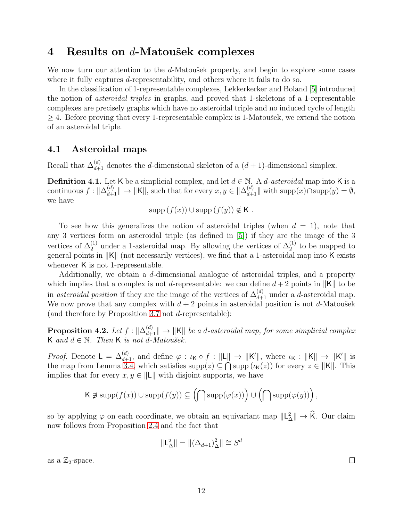## 4 Results on d-Matoušek complexes

We now turn our attention to the d-Matoušek property, and begin to explore some cases where it fully captures *d*-representability, and others where it fails to do so.

In the classification of 1-representable complexes, Lekkerkerker and Boland [\[5\]](#page-19-6) introduced the notion of asteroidal triples in graphs, and proved that 1-skeletons of a 1-representable complexes are precisely graphs which have no asteroidal triple and no induced cycle of length  $\geq$  4. Before proving that every 1-representable complex is 1-Matousek, we extend the notion of an asteroidal triple.

## 4.1 Asteroidal maps

Recall that  $\Delta_{d+1}^{(d)}$  denotes the d-dimensional skeleton of a  $(d+1)$ -dimensional simplex.

**Definition 4.1.** Let K be a simplicial complex, and let  $d \in \mathbb{N}$ . A *d-asteroidal* map into K is a continuous  $f: \|\Delta_{d+1}^{(d)}\| \to \|K\|$ , such that for every  $x, y \in \|\Delta_{d+1}^{(d)}\|$  with  $\text{supp}(x) \cap \text{supp}(y) = \emptyset$ , we have

$$
supp(f(x)) \cup supp(f(y)) \notin K.
$$

To see how this generalizes the notion of asteroidal triples (when  $d = 1$ ), note that any 3 vertices form an asteroidal triple (as defined in [\[5\]](#page-19-6)) if they are the image of the 3 vertices of  $\Delta_2^{(1)}$  under a 1-asteroidal map. By allowing the vertices of  $\Delta_2^{(1)}$  to be mapped to general points in  $||K||$  (not necessarily vertices), we find that a 1-asteroidal map into K exists whenever K is not 1-representable.

Additionally, we obtain a d-dimensional analogue of asteroidal triples, and a property which implies that a complex is not d-representable: we can define  $d+2$  points in  $||K||$  to be in asteroidal position if they are the image of the vertices of  $\Delta_{d+1}^{(d)}$  under a d-asteroidal map. We now prove that any complex with  $d + 2$  points in asteroidal position is not d-Matoušek (and therefore by Proposition [3.7](#page-7-0) not d-representable):

<span id="page-11-0"></span>**Proposition 4.2.** Let  $f: \|\Delta_{d+1}^{(d)}\| \to \|K\|$  be a d-asteroidal map, for some simplicial complex K and  $d \in \mathbb{N}$ . Then K is not d-Matoušek.

*Proof.* Denote  $L = \Delta_{d+1}^{(d)}$ , and define  $\varphi : \iota_{\mathsf{K}} \circ f : ||\mathsf{L}|| \to ||\mathsf{K}'||$ , where  $\iota_{\mathsf{K}} : ||\mathsf{K}|| \to ||\mathsf{K}'||$  is the map from Lemma [3.4,](#page-6-2) which satisfies  $\text{supp}(z) \subseteq \bigcap \text{supp}(\iota_{\mathsf{K}}(z))$  for every  $z \in ||\mathsf{K}||$ . This implies that for every  $x, y \in ||L||$  with disjoint supports, we have

$$
{\sf K}\not\ni\operatorname{supp}(f(x))\cup\operatorname{supp}(f(y))\subseteq\left(\bigcap\operatorname{supp}(\varphi(x))\right)\cup\left(\bigcap\operatorname{supp}(\varphi(y))\right),
$$

so by applying  $\varphi$  on each coordinate, we obtain an equivariant map  $\Vert L_{\Delta}^{2} \Vert \to \hat{K}$ . Our claim now follows from Proposition [2.4](#page-4-0) and the fact that

$$
\|\mathsf{L}_{\Delta}^2\| = \|(\Delta_{d+1})_{\Delta}^2\| \cong S^d
$$

as a  $\mathbb{Z}_2$ -space.

 $\Box$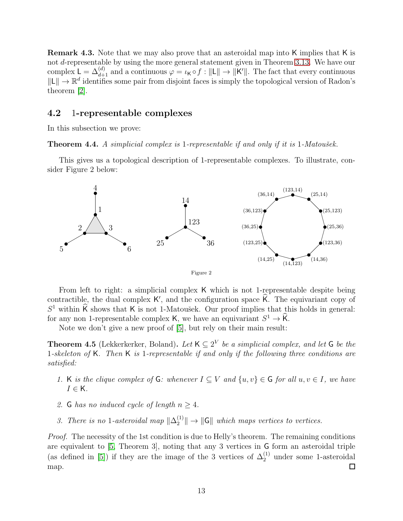Remark 4.3. Note that we may also prove that an asteroidal map into K implies that K is not d-representable by using the more general statement given in Theorem [3.13.](#page-9-1) We have our complex  $L = \Delta_{d+1}^{(d)}$  and a continuous  $\varphi = \iota_{\mathsf{K}} \circ f : ||\mathsf{L}|| \to ||\mathsf{K}'||$ . The fact that every continuous  $\|\mathsf{L}\| \to \mathbb{R}^d$  identifies some pair from disjoint faces is simply the topological version of Radon's theorem [\[2\]](#page-19-7).

#### 4.2 1-representable complexes

In this subsection we prove:

<span id="page-12-0"></span>**Theorem 4.4.** A simplicial complex is 1-representable if and only if it is 1-Matoušek.

This gives us a topological description of 1-representable complexes. To illustrate, consider Figure 2 below:



From left to right: a simplicial complex K which is not 1-representable despite being contractible, the dual complex  $K'$ , and the configuration space  $\hat{K}$ . The equivariant copy of  $S^1$  within  $\widehat{K}$  shows that K is not 1-Matoušek. Our proof implies that this holds in general: for any non 1-representable complex K, we have an equivariant  $S^1 \to \widehat{K}$ .

Note we don't give a new proof of [\[5\]](#page-19-6), but rely on their main result:

<span id="page-12-1"></span>**Theorem 4.5** (Lekkerkerker, Boland). Let  $K \subseteq 2^V$  be a simplicial complex, and let G be the 1-skeleton of K. Then K is 1-representable if and only if the following three conditions are satisfied:

- 1. K is the clique complex of G: whenever  $I \subseteq V$  and  $\{u, v\} \in G$  for all  $u, v \in I$ , we have  $I \in \mathsf{K}$ .
- 2. G has no induced cycle of length  $n \geq 4$ .
- 3. There is no 1-asteroidal map  $\|\Delta_2^{(1)}\| \to \|\mathsf{G}\|$  which maps vertices to vertices.

*Proof.* The necessity of the 1st condition is due to Helly's theorem. The remaining conditions are equivalent to [\[5,](#page-19-6) Theorem 3], noting that any 3 vertices in G form an asteroidal triple (as defined in [\[5\]](#page-19-6)) if they are the image of the 3 vertices of  $\Delta_2^{(1)}$  under some 1-asteroidal map.  $\Box$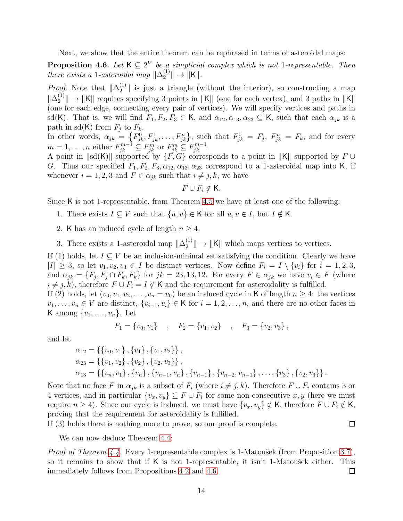Next, we show that the entire theorem can be rephrased in terms of asteroidal maps:

<span id="page-13-0"></span>**Proposition 4.6.** Let  $K \subseteq 2^V$  be a simplicial complex which is not 1-representable. Then there exists a 1-asteroidal map  $\|\Delta_2^{(1)}\| \to \|K\|$ .

*Proof.* Note that  $\|\Delta_2^{(1)}\|$  is just a triangle (without the interior), so constructing a map  $\|\Delta_2^{(1)}\| \to \|K\|$  requires specifying 3 points in  $\|K\|$  (one for each vertex), and 3 paths in  $\|K\|$ (one for each edge, connecting every pair of vertices). We will specify vertices and paths in sd(K). That is, we will find  $F_1, F_2, F_3 \in \mathsf{K}$ , and  $\alpha_{12}, \alpha_{13}, \alpha_{23} \subseteq \mathsf{K}$ , such that each  $\alpha_{jk}$  is a path in sd(K) from  $F_j$  to  $F_k$ .

In other words,  $\alpha_{jk} = \{F_{jk}^0, F_{jk}^1, \ldots, F_{jk}^n\}$ , such that  $F_{jk}^0 = F_j$ ,  $F_{jk}^n = F_k$ , and for every  $m = 1, \ldots, n$  either  $F_{jk}^{m-1} \subseteq F_{jk}^m$  or  $F_{jk}^m \subseteq F_{jk}^{m-1}$ .

A point in  $\|\text{sd}(K)\|$  supported by  $\{F,G\}$  corresponds to a point in  $\|K\|$  supported by  $F \cup$ G. Thus our specified  $F_1, F_2, F_3, \alpha_{12}, \alpha_{13}, \alpha_{23}$  correspond to a 1-asteroidal map into K, if whenever  $i = 1, 2, 3$  and  $F \in \alpha_{jk}$  such that  $i \neq j, k$ , we have

$$
F \cup F_i \notin \mathsf{K}.
$$

Since K is not 1-representable, from Theorem [4.5](#page-12-1) we have at least one of the following:

- 1. There exists  $I \subseteq V$  such that  $\{u, v\} \in \mathsf{K}$  for all  $u, v \in I$ , but  $I \notin \mathsf{K}$ .
- 2. K has an induced cycle of length  $n \geq 4$ .

3. There exists a 1-asteroidal map  $\|\Delta_2^{(1)}\|$  $\binom{1}{2}$   $\rightarrow$   $\|$ K $\|$  which maps vertices to vertices.

If (1) holds, let  $I \subseteq V$  be an inclusion-minimal set satisfying the condition. Clearly we have  $|I| \geq 3$ , so let  $v_1, v_2, v_3 \in I$  be distinct vertices. Now define  $F_i = I \setminus \{v_i\}$  for  $i = 1, 2, 3$ , and  $\alpha_{jk} = \{F_j, F_j \cap F_k, F_k\}$  for  $jk = 23, 13, 12$ . For every  $F \in \alpha_{jk}$  we have  $v_i \in F$  (where  $i \neq j, k$ , therefore  $F \cup F_i = I \notin \mathsf{K}$  and the requirement for asteroidality is fulfilled.

If (2) holds, let  $(v_0, v_1, v_2, \ldots, v_n = v_0)$  be an induced cycle in K of length  $n \geq 4$ : the vertices  $v_1, \ldots, v_n \in V$  are distinct,  $\{v_{i-1}, v_i\} \in \mathsf{K}$  for  $i = 1, 2, \ldots, n$ , and there are no other faces in K among  $\{v_1, \ldots, v_n\}$ . Let

$$
F_1 = \{v_0, v_1\}
$$
,  $F_2 = \{v_1, v_2\}$ ,  $F_3 = \{v_2, v_3\}$ ,

and let

$$
\alpha_{12} = \{\{v_0, v_1\}, \{v_1\}, \{v_1, v_2\}\},
$$
  
\n
$$
\alpha_{23} = \{\{v_1, v_2\}, \{v_2\}, \{v_2, v_3\}\},
$$
  
\n
$$
\alpha_{13} = \{\{v_n, v_1\}, \{v_n\}, \{v_{n-1}, v_n\}, \{v_{n-1}\}, \{v_{n-2}, v_{n-1}\}, \dots, \{v_3\}, \{v_2, v_3\}\}.
$$

Note that no face F in  $\alpha_{ik}$  is a subset of  $F_i$  (where  $i \neq j, k$ ). Therefore  $F \cup F_i$  contains 3 or 4 vertices, and in particular  $\{v_x, v_y\} \subseteq F \cup F_i$  for some non-consecutive  $x, y$  (here we must require  $n \geq 4$ ). Since our cycle is induced, we must have  $\{v_x, v_y\} \notin K$ , therefore  $F \cup F_i \notin K$ , proving that the requirement for asteroidality is fulfilled.

If (3) holds there is nothing more to prove, so our proof is complete.

 $\Box$ 

We can now deduce Theorem [4.4:](#page-12-0)

*Proof of Theorem [4.4.](#page-12-0)* Every 1-representable complex is 1-Matoušek (from Proposition [3.7\)](#page-7-0), so it remains to show that if  $K$  is not 1-representable, it isn't 1-Matoušek either. This immediately follows from Propositions [4.2](#page-11-0) and [4.6.](#page-13-0)  $\Box$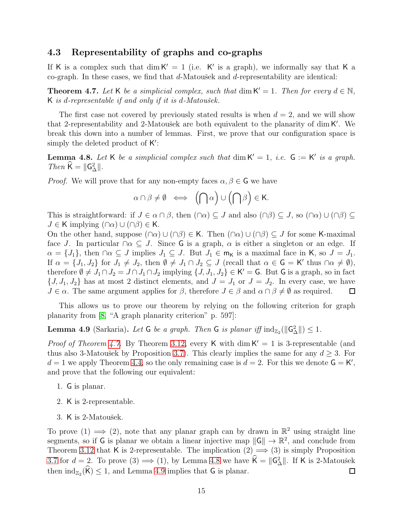### 4.3 Representability of graphs and co-graphs

If K is a complex such that  $\dim K' = 1$  (i.e. K' is a graph), we informally say that K a co-graph. In these cases, we find that  $d$ -Matoušek and  $d$ -representability are identical:

<span id="page-14-0"></span>**Theorem 4.7.** Let K be a simplicial complex, such that  $\dim K' = 1$ . Then for every  $d \in \mathbb{N}$ , K is d-representable if and only if it is d-Matoušek.

The first case not covered by previously stated results is when  $d = 2$ , and we will show that 2-representability and 2-Matoušek are both equivalent to the planarity of dim K'. We break this down into a number of lemmas. First, we prove that our configuration space is simply the deleted product of K':

<span id="page-14-1"></span>**Lemma 4.8.** Let K be a simplicial complex such that  $\dim K' = 1$ , i.e.  $G := K'$  is a graph. Then  $\widehat{\mathsf{K}} = \|\mathsf{G}^2_{\Delta}\|.$ 

*Proof.* We will prove that for any non-empty faces  $\alpha, \beta \in \mathsf{G}$  we have

$$
\alpha \cap \beta \neq \emptyset \iff \left(\bigcap \alpha\right) \cup \left(\bigcap \beta\right) \in \mathsf{K}.
$$

This is straightforward: if  $J \in \alpha \cap \beta$ , then  $(\cap \alpha) \subseteq J$  and also  $(\cap \beta) \subseteq J$ , so  $(\cap \alpha) \cup (\cap \beta) \subseteq$  $J \in K$  implying  $(\cap \alpha) \cup (\cap \beta) \in K$ .

On the other hand, suppose  $(\cap \alpha) \cup (\cap \beta) \in K$ . Then  $(\cap \alpha) \cup (\cap \beta) \subseteq J$  for some K-maximal face J. In particular  $\cap \alpha \subseteq J$ . Since G is a graph,  $\alpha$  is either a singleton or an edge. If  $\alpha = \{J_1\}$ , then  $\cap \alpha \subseteq J$  implies  $J_1 \subseteq J$ . But  $J_1 \in \mathsf{m}_{\mathsf{K}}$  is a maximal face in K, so  $J = J_1$ . If  $\alpha = \{J_1, J_2\}$  for  $J_1 \neq J_2$ , then  $\emptyset \neq J_1 \cap J_2 \subseteq J$  (recall that  $\alpha \in \mathsf{G} = \mathsf{K}'$  thus  $\cap \alpha \neq \emptyset$ ), therefore  $\emptyset \neq J_1 \cap J_2 = J \cap J_1 \cap J_2$  implying  $\{J, J_1, J_2\} \in \mathsf{K}' = \mathsf{G}$ . But  $\mathsf{G}$  is a graph, so in fact  $\{J, J_1, J_2\}$  has at most 2 distinct elements, and  $J = J_1$  or  $J = J_2$ . In every case, we have  $J \in \alpha$ . The same argument applies for  $\beta$ , therefore  $J \in \beta$  and  $\alpha \cap \beta \neq \emptyset$  as required.  $\Box$ 

This allows us to prove our theorem by relying on the following criterion for graph planarity from [\[8,](#page-19-8) "A graph planarity criterion" p. 597]:

<span id="page-14-2"></span>**Lemma 4.9** (Sarkaria). Let G be a graph. Then G is planar iff  $\text{ind}_{\mathbb{Z}_2}(\|\mathsf{G}_{\Delta}^2\|) \leq 1$ .

*Proof of Theorem [4.7.](#page-14-0)* By Theorem [3.12,](#page-9-0) every K with dim  $K' = 1$  is 3-representable (and thus also 3-Matoušek by Proposition [3.7\)](#page-7-0). This clearly implies the same for any  $d \geq 3$ . For  $d = 1$  we apply Theorem [4.4,](#page-12-0) so the only remaining case is  $d = 2$ . For this we denote  $G = K'$ , and prove that the following our equivalent:

- 1. G is planar.
- 2. K is 2-representable.
- 3. K is 2-Matoušek.

To prove  $(1) \implies (2)$ , note that any planar graph can by drawn in  $\mathbb{R}^2$  using straight line segments, so if G is planar we obtain a linear injective map  $\|G\| \to \mathbb{R}^2$ , and conclude from Theorem [3.12](#page-9-0) that K is 2-representable. The implication  $(2) \implies (3)$  is simply Proposition [3.7](#page-7-0) for  $d = 2$ . To prove  $(3) \implies (1)$ , by Lemma [4.8](#page-14-1) we have  $\widehat{K} = ||G_{\Delta}^2||$ . If K is 2-Matoušek then  $\text{ind}_{\mathbb{Z}_2}(\widehat{K}) \leq 1$ , and Lemma [4.9](#page-14-2) implies that G is planar.  $\Box$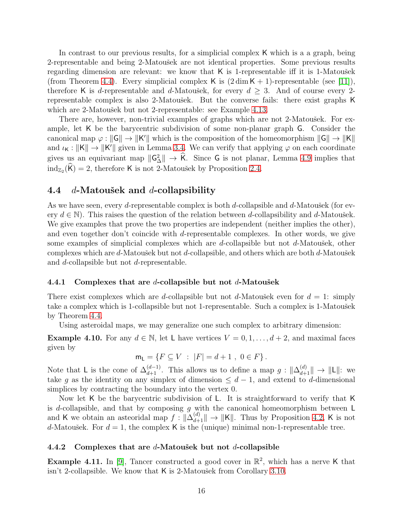In contrast to our previous results, for a simplicial complex K which is a a graph, being 2-representable and being 2-Matousek are not identical properties. Some previous results regarding dimension are relevant: we know that  $K$  is 1-representable iff it is 1-Matousek (from Theorem [4.4\)](#page-12-0). Every simplicial complex K is  $(2 \dim K + 1)$ -representable (see [\[11\]](#page-19-2)), therefore K is d-representable and d-Matoušek, for every  $d \geq 3$ . And of course every 2representable complex is also 2-Matoušek. But the converse fails: there exist graphs K which are 2-Matoušek but not 2-representable: see Example [4.13.](#page-16-0)

There are, however, non-trivial examples of graphs which are not 2-Matoušek. For example, let K be the barycentric subdivision of some non-planar graph G. Consider the canonical map  $\varphi: ||G|| \to ||K'||$  which is the composition of the homeomorphism  $||G|| \to ||K||$ and  $\iota_K : ||K|| \to ||K'||$  given in Lemma [3.4.](#page-6-2) We can verify that applying  $\varphi$  on each coordinate gives us an equivariant map  $\|G_{\Delta}^2\| \to \hat{K}$ . Since G is not planar, Lemma [4.9](#page-14-2) implies that  $\text{ind}_{\mathbb{Z}_2}(\widehat{\mathsf{K}}) = 2$ , therefore K is not 2-Matoušek by Proposition [2.4.](#page-4-0)

## 4.4  $d$ -Matoušek and  $d$ -collapsibility

As we have seen, every d-representable complex is both d-collapsible and d-Matoušek (for every  $d \in \mathbb{N}$ . This raises the question of the relation between d-collapsibility and d-Matoušek. We give examples that prove the two properties are independent (neither implies the other), and even together don't coincide with d-representable complexes. In other words, we give some examples of simplicial complexes which are d-collapsible but not d-Matoušek, other complexes which are  $d$ -Matoušek but not  $d$ -collapsible, and others which are both  $d$ -Matoušek and d-collapsible but not d-representable.

#### 4.4.1 Complexes that are *d*-collapsible but not *d*-Matoušek

There exist complexes which are d-collapsible but not d-Matousek even for  $d = 1$ : simply take a complex which is 1-collapsible but not 1-representable. Such a complex is 1-Matoušek by Theorem [4.4.](#page-12-0)

Using asteroidal maps, we may generalize one such complex to arbitrary dimension:

**Example 4.10.** For any  $d \in \mathbb{N}$ , let L have vertices  $V = 0, 1, \ldots, d + 2$ , and maximal faces given by

$$
\mathsf{m}_{\mathsf{L}} = \{ F \subseteq V \; : \; |F| = d + 1 \; , \; 0 \in F \} \, .
$$

Note that L is the cone of  $\Delta_{d+1}^{(d-1)}$ . This allows us to define a map  $g: \|\Delta_{d+1}^{(d)}\| \to \|L\|$ : we take g as the identity on any simplex of dimension  $\leq d-1$ , and extend to d-dimensional simplices by contracting the boundary into the vertex 0.

Now let K be the barycentric subdivision of L. It is straightforward to verify that K is d-collapsible, and that by composing  $g$  with the canonical homeomorphism between  $\mathsf L$ and K we obtain an asteoridal map  $f: \|\Delta_{d+1}^{(d)}\| \to \|K\|$ . Thus by Proposition [4.2,](#page-11-0) K is not d-Matoušek. For  $d = 1$ , the complex K is the (unique) minimal non-1-representable tree.

#### 4.4.2 Complexes that are  $d$ -Matoušek but not  $d$ -collapsible

<span id="page-15-0"></span>**Example 4.11.** In [\[9\]](#page-19-9), Tancer constructed a good cover in  $\mathbb{R}^2$ , which has a nerve K that isn't 2-collapsible. We know that  $K$  is 2-Matoušek from Corollary [3.10.](#page-8-2)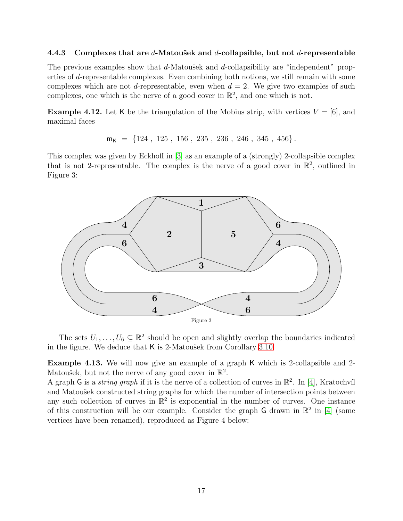#### 4.4.3 Complexes that are d-Matousek and d-collapsible, but not d-representable

The previous examples show that  $d$ -Matousek and  $d$ -collapsibility are "independent" properties of d-representable complexes. Even combining both notions, we still remain with some complexes which are not d-representable, even when  $d = 2$ . We give two examples of such complexes, one which is the nerve of a good cover in  $\mathbb{R}^2$ , and one which is not.

**Example 4.12.** Let K be the triangulation of the Mobius strip, with vertices  $V = [6]$ , and maximal faces

 $m_K = \{124, 125, 156, 235, 236, 246, 345, 456\}.$ 

This complex was given by Eckhoff in [\[3\]](#page-19-1) as an example of a (strongly) 2-collapsible complex that is not 2-representable. The complex is the nerve of a good cover in  $\mathbb{R}^2$ , outlined in Figure 3:



The sets  $U_1, \ldots, U_6 \subseteq \mathbb{R}^2$  should be open and slightly overlap the boundaries indicated in the figure. We deduce that  $K$  is 2-Matoušek from Corollary [3.10.](#page-8-2)

<span id="page-16-0"></span>Example 4.13. We will now give an example of a graph K which is 2-collapsible and 2- Matoušek, but not the nerve of any good cover in  $\mathbb{R}^2$ .

A graph G is a *string graph* if it is the nerve of a collection of curves in  $\mathbb{R}^2$ . In [\[4\]](#page-19-10), Kratochvíl and Matoušek constructed string graphs for which the number of intersection points between any such collection of curves in  $\mathbb{R}^2$  is exponential in the number of curves. One instance of this construction will be our example. Consider the graph  $G$  drawn in  $\mathbb{R}^2$  in [\[4\]](#page-19-10) (some vertices have been renamed), reproduced as Figure 4 below: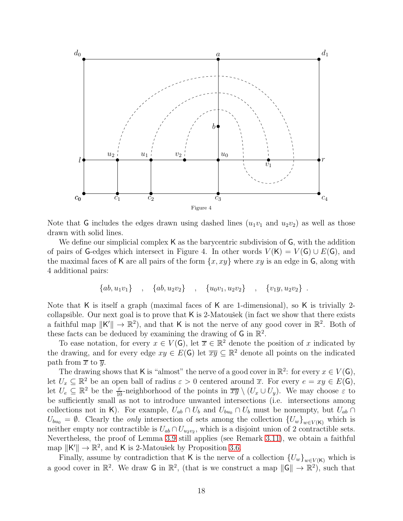

Note that G includes the edges drawn using dashed lines  $(u_1v_1$  and  $u_2v_2)$  as well as those drawn with solid lines.

We define our simplicial complex K as the barycentric subdivision of G, with the addition of pairs of G-edges which intersect in Figure 4. In other words  $V(K) = V(G) \cup E(G)$ , and the maximal faces of K are all pairs of the form  $\{x, xy\}$  where xy is an edge in G, along with 4 additional pairs:

$$
\{ab, u_1v_1\} \quad , \quad \{ab, u_2v_2\} \quad , \quad \{u_0v_1, u_2v_2\} \quad , \quad \{v_1y, u_2v_2\} \quad .
$$

Note that K is itself a graph (maximal faces of K are 1-dimensional), so K is trivially 2collapsible. Our next goal is to prove that  $\mathsf K$  is 2-Matoušek (in fact we show that there exists a faithful map  $||K'|| \to \mathbb{R}^2$ , and that K is not the nerve of any good cover in  $\mathbb{R}^2$ . Both of these facts can be deduced by examining the drawing of  $G$  in  $\mathbb{R}^2$ .

To ease notation, for every  $x \in V(G)$ , let  $\overline{x} \in \mathbb{R}^2$  denote the position of x indicated by the drawing, and for every edge  $xy \in E(G)$  let  $\overline{xy} \subseteq \mathbb{R}^2$  denote all points on the indicated path from  $\overline{x}$  to  $\overline{y}$ .

The drawing shows that K is "almost" the nerve of a good cover in  $\mathbb{R}^2$ : for every  $x \in V(G)$ , let  $U_x \subseteq \mathbb{R}^2$  be an open ball of radius  $\varepsilon > 0$  centered around  $\overline{x}$ . For every  $e = xy \in E(G)$ , let  $U_e \subseteq \mathbb{R}^2$  be the  $\frac{\varepsilon}{10}$ -neighborhood of the points in  $\overline{xy} \setminus (U_x \cup U_y)$ . We may choose  $\varepsilon$  to be sufficiently small as not to introduce unwanted intersections (i.e. intersections among collections not in K). For example,  $U_{ab} \cap U_b$  and  $U_{bu_0} \cap U_b$  must be nonempty, but  $U_{ab} \cap$  $U_{bu_0} = \emptyset$ . Clearly the *only* intersection of sets among the collection  ${U_w}_{w \in V(K)}$  which is neither empty nor contractible is  $U_{ab} \cap U_{u_2v_2}$ , which is a disjoint union of 2 contractible sets. Nevertheless, the proof of Lemma [3.9](#page-8-1) still applies (see Remark [3.11\)](#page-8-3), we obtain a faithful map  $||K'|| \rightarrow \mathbb{R}^2$ , and K is 2-Matoušek by Proposition [3.6.](#page-7-2)

Finally, assume by contradiction that K is the nerve of a collection  ${U_w}_{w \in V(K)}$  which is a good cover in  $\mathbb{R}^2$ . We draw G in  $\mathbb{R}^2$ , (that is we construct a map  $\|G\| \to \mathbb{R}^2$ ), such that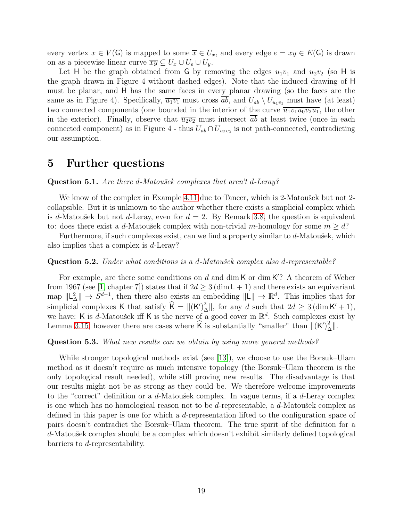every vertex  $x \in V(G)$  is mapped to some  $\overline{x} \in U_x$ , and every edge  $e = xy \in E(G)$  is drawn on as a piecewise linear curve  $\overline{xy} \subseteq U_x \cup U_e \cup U_y$ .

Let H be the graph obtained from G by removing the edges  $u_1v_1$  and  $u_2v_2$  (so H is the graph drawn in Figure 4 without dashed edges). Note that the induced drawing of H must be planar, and H has the same faces in every planar drawing (so the faces are the same as in Figure 4). Specifically,  $\overline{u_1v_1}$  must cross  $\overline{ab}$ , and  $U_{ab} \setminus U_{u_1v_1}$  must have (at least) two connected components (one bounded in the interior of the curve  $\overline{u_1v_1u_0v_2u_1}$ , the other in the exterior). Finally, observe that  $\overline{u_2v_2}$  must intersect ab at least twice (once in each connected component) as in Figure 4 - thus  $U_{ab} \cap U_{u_2v_2}$  is not path-connected, contradicting our assumption.

## 5 Further questions

#### **Question 5.1.** Are there d-Matoušek complexes that aren't d-Leray?

We know of the complex in Example [4.11](#page-15-0) due to Tancer, which is 2-Matousek but not 2collapsible. But it is unknown to the author whether there exists a simplicial complex which is d-Matoušek but not d-Leray, even for  $d = 2$ . By Remark [3.8,](#page-7-3) the question is equivalent to: does there exist a d-Matoušek complex with non-trivial m-homology for some  $m \geq d$ ?

Furthermore, if such complexes exist, can we find a property similar to  $d$ -Matoušek, which also implies that a complex is d-Leray?

#### Question 5.2. Under what conditions is a d-Matoušek complex also d-representable?

For example, are there some conditions on  $d$  and  $\dim K$  or  $\dim K$ ? A theorem of Weber from 1967 (see [\[1,](#page-19-11) chapter 7]) states that if  $2d \geq 3$  (dim L + 1) and there exists an equivariant map  $\Vert L_{\Delta}^2 \Vert \to S^{d-1}$ , then there also exists an embedding  $\Vert L \Vert \to \mathbb{R}^d$ . This implies that for simplicial complexes K that satisfy  $\widehat{K} = ||(K')^2 \rangle$  $\frac{2}{\Delta}$ ||, for any d such that  $2d \geq 3$  (dim K' + 1), we have: K is d-Matoušek iff K is the nerve of a good cover in  $\mathbb{R}^d$ . Such complexes exist by Lemma [3.15,](#page-10-0) however there are cases where  $\hat{\mathsf{K}}$  is substantially "smaller" than  $\|(\mathsf{K}')^2_{\Delta}\|$ .

#### Question 5.3. What new results can we obtain by using more general methods?

While stronger topological methods exist (see [\[13\]](#page-19-12)), we choose to use the Borsuk–Ulam method as it doesn't require as much intensive topology (the Borsuk–Ulam theorem is the only topological result needed), while still proving new results. The disadvantage is that our results might not be as strong as they could be. We therefore welcome improvements to the "correct" definition or a  $d$ -Matoušek complex. In vague terms, if a  $d$ -Leray complex is one which has no homological reason not to be d-representable, a  $d$ -Matoušek complex as defined in this paper is one for which a d-representation lifted to the configuration space of pairs doesn't contradict the Borsuk–Ulam theorem. The true spirit of the definition for a d-Matoušek complex should be a complex which doesn't exhibit similarly defined topological barriers to d-representability.